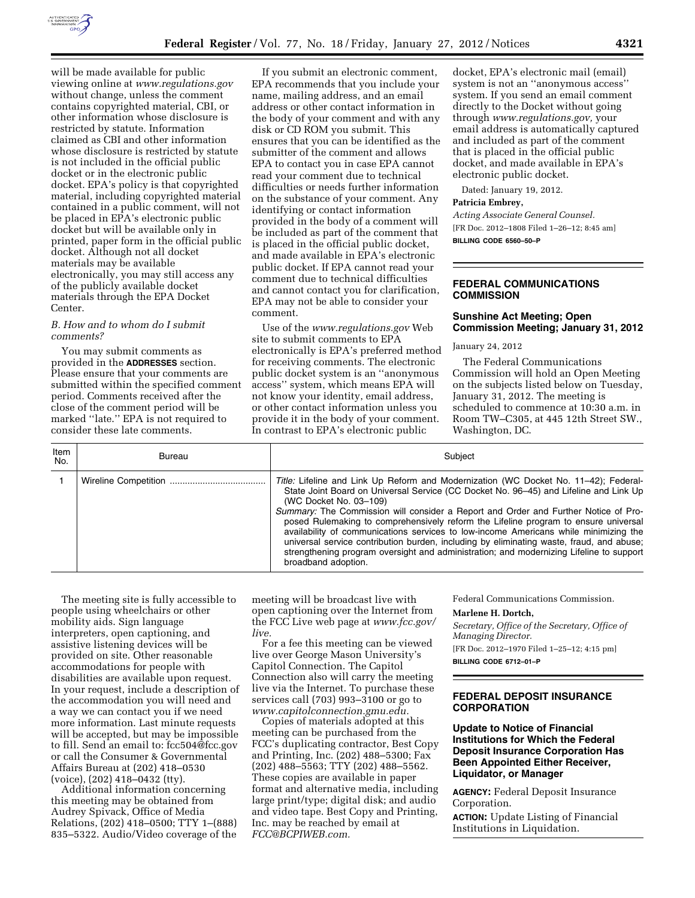

will be made available for public viewing online at *[www.regulations.gov](http://www.regulations.gov)*  without change, unless the comment contains copyrighted material, CBI, or other information whose disclosure is restricted by statute. Information claimed as CBI and other information whose disclosure is restricted by statute is not included in the official public docket or in the electronic public docket. EPA's policy is that copyrighted material, including copyrighted material contained in a public comment, will not be placed in EPA's electronic public docket but will be available only in printed, paper form in the official public docket. Although not all docket materials may be available electronically, you may still access any of the publicly available docket materials through the EPA Docket Center.

#### *B. How and to whom do I submit comments?*

You may submit comments as provided in the **ADDRESSES** section. Please ensure that your comments are submitted within the specified comment period. Comments received after the close of the comment period will be marked ''late.'' EPA is not required to consider these late comments.

If you submit an electronic comment, EPA recommends that you include your name, mailing address, and an email address or other contact information in the body of your comment and with any disk or CD ROM you submit. This ensures that you can be identified as the submitter of the comment and allows EPA to contact you in case EPA cannot read your comment due to technical difficulties or needs further information on the substance of your comment. Any identifying or contact information provided in the body of a comment will be included as part of the comment that is placed in the official public docket, and made available in EPA's electronic public docket. If EPA cannot read your comment due to technical difficulties and cannot contact you for clarification, EPA may not be able to consider your comment.

Use of the *[www.regulations.gov](http://www.regulations.gov)* Web site to submit comments to EPA electronically is EPA's preferred method for receiving comments. The electronic public docket system is an ''anonymous access'' system, which means EPA will not know your identity, email address, or other contact information unless you provide it in the body of your comment. In contrast to EPA's electronic public

docket, EPA's electronic mail (email) system is not an ''anonymous access'' system. If you send an email comment directly to the Docket without going through *[www.regulations.gov,](http://www.regulations.gov)* your email address is automatically captured and included as part of the comment that is placed in the official public docket, and made available in EPA's electronic public docket.

Dated: January 19, 2012.

#### **Patricia Embrey,**

*Acting Associate General Counsel.*  [FR Doc. 2012–1808 Filed 1–26–12; 8:45 am]

**BILLING CODE 6560–50–P** 

#### **FEDERAL COMMUNICATIONS COMMISSION**

#### **Sunshine Act Meeting; Open Commission Meeting; January 31, 2012**

January 24, 2012

The Federal Communications Commission will hold an Open Meeting on the subjects listed below on Tuesday, January 31, 2012. The meeting is scheduled to commence at 10:30 a.m. in Room TW–C305, at 445 12th Street SW., Washington, DC.

| Item<br>No. | Bureau | Subject                                                                                                                                                                                                                                                                                                                                                                                                                                                                                                                                                                                                                                                                                     |
|-------------|--------|---------------------------------------------------------------------------------------------------------------------------------------------------------------------------------------------------------------------------------------------------------------------------------------------------------------------------------------------------------------------------------------------------------------------------------------------------------------------------------------------------------------------------------------------------------------------------------------------------------------------------------------------------------------------------------------------|
|             |        | Title: Lifeline and Link Up Reform and Modernization (WC Docket No. 11–42); Federal-<br>State Joint Board on Universal Service (CC Docket No. 96-45) and Lifeline and Link Up<br>(WC Docket No. 03-109)<br>Summary: The Commission will consider a Report and Order and Further Notice of Pro-<br>posed Rulemaking to comprehensively reform the Lifeline program to ensure universal<br>availability of communications services to low-income Americans while minimizing the<br>universal service contribution burden, including by eliminating waste, fraud, and abuse;<br>strengthening program oversight and administration; and modernizing Lifeline to support<br>broadband adoption. |

The meeting site is fully accessible to people using wheelchairs or other mobility aids. Sign language interpreters, open captioning, and assistive listening devices will be provided on site. Other reasonable accommodations for people with disabilities are available upon request. In your request, include a description of the accommodation you will need and a way we can contact you if we need more information. Last minute requests will be accepted, but may be impossible to fill. Send an email to: [fcc504@fcc.gov](mailto:fcc504@fcc.gov) or call the Consumer & Governmental Affairs Bureau at (202) 418–0530 (voice), (202) 418–0432 (tty).

Additional information concerning this meeting may be obtained from Audrey Spivack, Office of Media Relations, (202) 418–0500; TTY 1–(888) 835–5322. Audio/Video coverage of the

meeting will be broadcast live with open captioning over the Internet from the FCC Live web page at *[www.fcc.gov/](http://www.fcc.gov/live)  [live.](http://www.fcc.gov/live)* 

For a fee this meeting can be viewed live over George Mason University's Capitol Connection. The Capitol Connection also will carry the meeting live via the Internet. To purchase these services call (703) 993–3100 or go to *[www.capitolconnection.gmu.edu.](http://www.capitolconnection.gmu.edu)* 

Copies of materials adopted at this meeting can be purchased from the FCC's duplicating contractor, Best Copy and Printing, Inc. (202) 488–5300; Fax (202) 488–5563; TTY (202) 488–5562. These copies are available in paper format and alternative media, including large print/type; digital disk; and audio and video tape. Best Copy and Printing, Inc. may be reached by email at *[FCC@BCPIWEB.com.](mailto:FCC@BCPIWEB.com)* 

Federal Communications Commission.

#### **Marlene H. Dortch,**

*Secretary, Office of the Secretary, Office of Managing Director.* 

[FR Doc. 2012–1970 Filed 1–25–12; 4:15 pm]

**BILLING CODE 6712–01–P** 

### **FEDERAL DEPOSIT INSURANCE CORPORATION**

**Update to Notice of Financial Institutions for Which the Federal Deposit Insurance Corporation Has Been Appointed Either Receiver, Liquidator, or Manager** 

**AGENCY:** Federal Deposit Insurance Corporation.

**ACTION:** Update Listing of Financial Institutions in Liquidation.